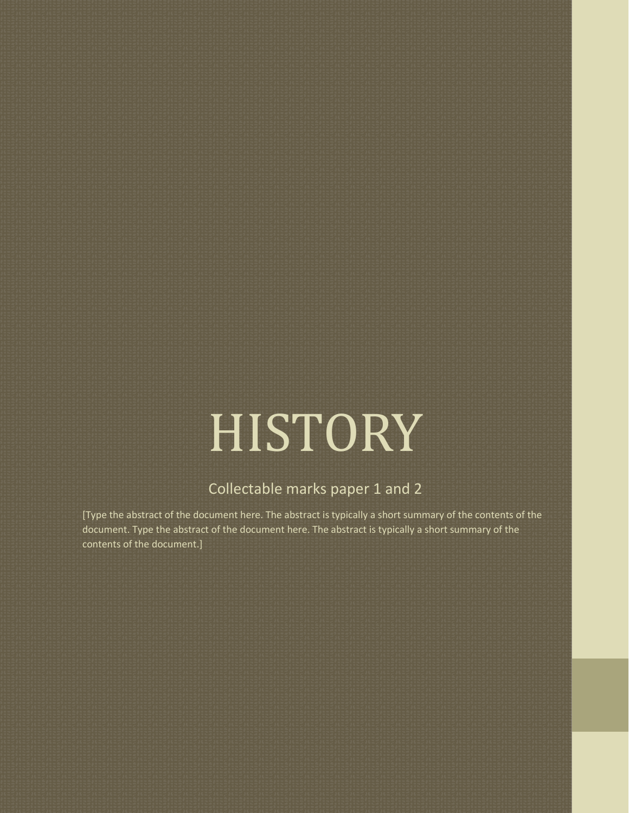# HISTORY

## Collectable marks paper 1 and 2

[Type the abstract of the document here. The abstract is typically a short summary of the contents of the document. Type the abstract of the document here. The abstract is typically a short summary of the contents of the document.]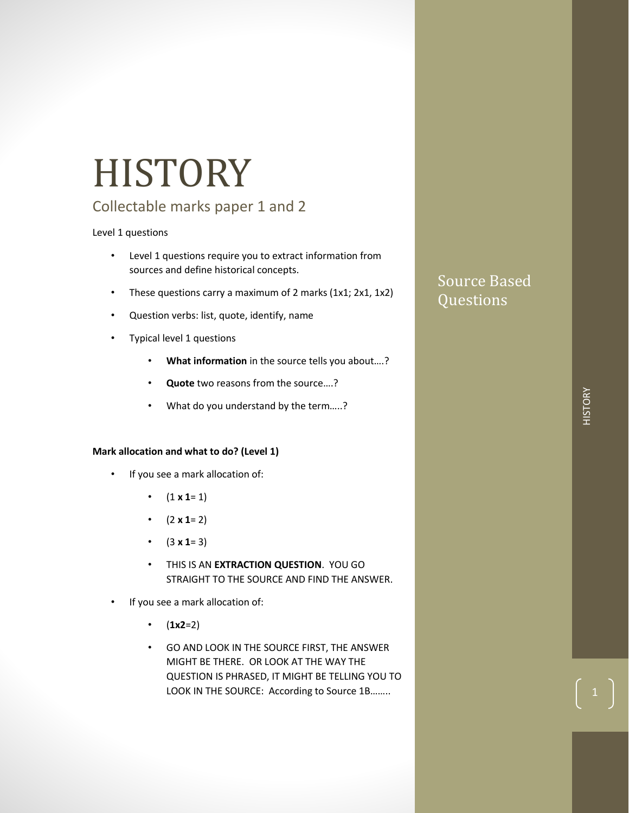## **HISTORY**

## Collectable marks paper 1 and 2

## Level 1 questions

- Level 1 questions require you to extract information from sources and define historical concepts.
- These questions carry a maximum of 2 marks (1x1; 2x1, 1x2)
- Question verbs: list, quote, identify, name
- Typical level 1 questions
	- **What information** in the source tells you about….?
	- **Quote** two reasons from the source….?
	- What do you understand by the term.....?

## **Mark allocation and what to do? (Level 1)**

- If you see a mark allocation of:
	- $(1 \times 1=1)$
	- $(2 \times 1=2)$
	- $(3 \times 1=3)$
	- THIS IS AN **EXTRACTION QUESTION**. YOU GO STRAIGHT TO THE SOURCE AND FIND THE ANSWER.
- If you see a mark allocation of:
	- $(1x2=2)$
	- GO AND LOOK IN THE SOURCE FIRST, THE ANSWER MIGHT BE THERE. OR LOOK AT THE WAY THE QUESTION IS PHRASED, IT MIGHT BE TELLING YOU TO LOOK IN THE SOURCE: According to Source 1B……..

## Source Based Questions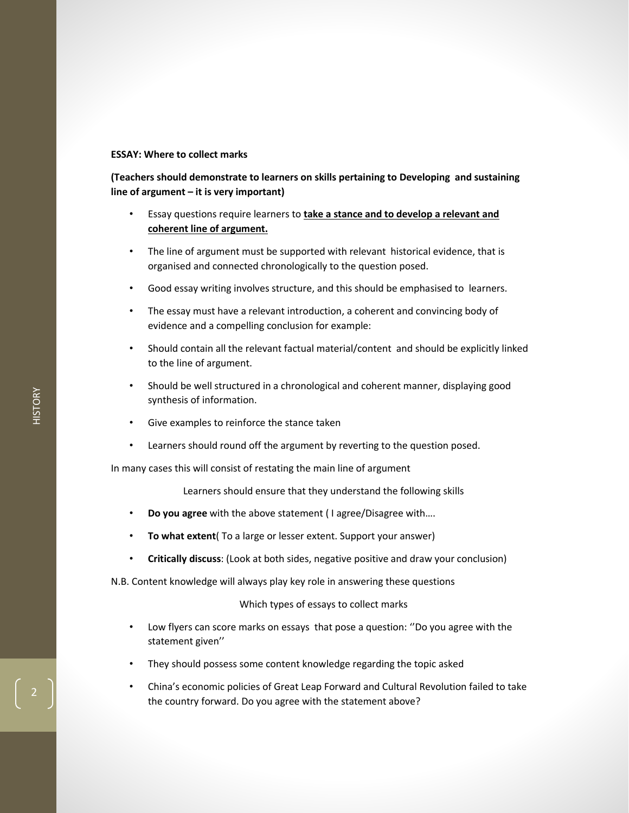#### **ESSAY: Where to collect marks**

## **(Teachers should demonstrate to learners on skills pertaining to Developing and sustaining line of argument – it is very important)**

- Essay questions require learners to **take a stance and to develop a relevant and coherent line of argument.**
- The line of argument must be supported with relevant historical evidence, that is organised and connected chronologically to the question posed.
- Good essay writing involves structure, and this should be emphasised to learners.
- The essay must have a relevant introduction, a coherent and convincing body of evidence and a compelling conclusion for example:
- Should contain all the relevant factual material/content and should be explicitly linked to the line of argument.
- Should be well structured in a chronological and coherent manner, displaying good synthesis of information.
- Give examples to reinforce the stance taken
- Learners should round off the argument by reverting to the question posed.

In many cases this will consist of restating the main line of argument

Learners should ensure that they understand the following skills

- **Do you agree** with the above statement ( I agree/Disagree with….
- **To what extent**( To a large or lesser extent. Support your answer)
- **Critically discuss**: (Look at both sides, negative positive and draw your conclusion)

N.B. Content knowledge will always play key role in answering these questions

#### Which types of essays to collect marks

- Low flyers can score marks on essays that pose a question: ''Do you agree with the statement given''
- They should possess some content knowledge regarding the topic asked
- China's economic policies of Great Leap Forward and Cultural Revolution failed to take the country forward. Do you agree with the statement above?

2